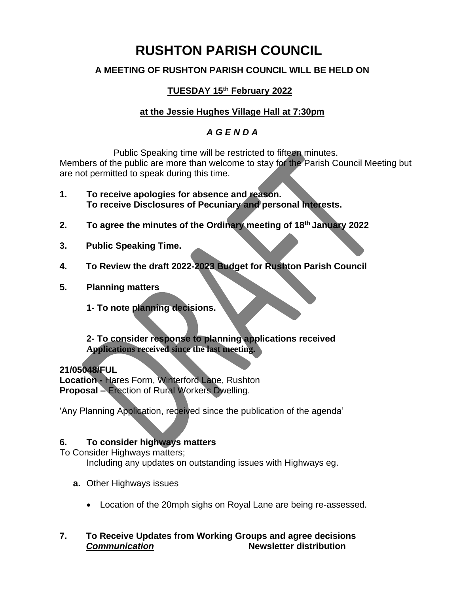# **RUSHTON PARISH COUNCIL**

## **A MEETING OF RUSHTON PARISH COUNCIL WILL BE HELD ON**

# **TUESDAY 15th February 2022**

## **at the Jessie Hughes Village Hall at 7:30pm**

## *A G E N D A*

Public Speaking time will be restricted to fifteen minutes. Members of the public are more than welcome to stay for the Parish Council Meeting but are not permitted to speak during this time.

- **1. To receive apologies for absence and reason. To receive Disclosures of Pecuniary and personal Interests.**
- **2. To agree the minutes of the Ordinary meeting of 18 th January 2022**
- **3. Public Speaking Time.**
- **4. To Review the draft 2022-2023 Budget for Rushton Parish Council**
- **5. Planning matters**
	- **1- To note planning decisions.**

#### **2- To consider response to planning applications received Applications received since the last meeting.**

**21/05048/FUL Location -** Hares Form, Winterford Lane, Rushton **Proposal –** Erection of Rural Workers Dwelling.

'Any Planning Application, received since the publication of the agenda'

### **6. To consider highways matters**

To Consider Highways matters;

Including any updates on outstanding issues with Highways eg.

- **a.** Other Highways issues
	- Location of the 20mph sighs on Royal Lane are being re-assessed.

#### **7. To Receive Updates from Working Groups and agree decisions** *Communication* **Newsletter distribution**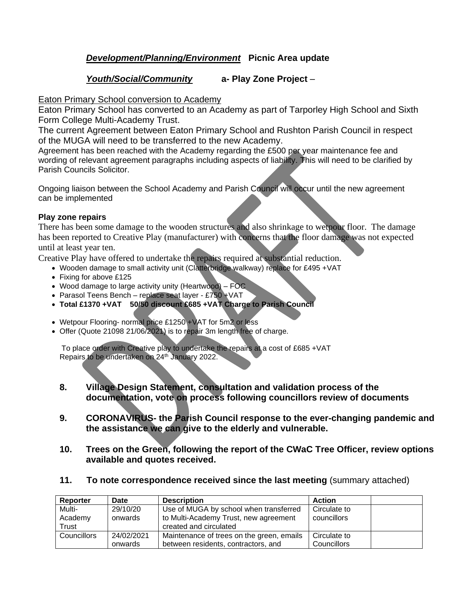## *Development/Planning/Environment* **Picnic Area update**

#### *Youth/Social/Community* **a- Play Zone Project** –

Eaton Primary School conversion to Academy

Eaton Primary School has converted to an Academy as part of Tarporley High School and Sixth Form College Multi-Academy Trust.

The current Agreement between Eaton Primary School and Rushton Parish Council in respect of the MUGA will need to be transferred to the new Academy.

Agreement has been reached with the Academy regarding the £500 per year maintenance fee and wording of relevant agreement paragraphs including aspects of liability. This will need to be clarified by Parish Councils Solicitor.

Ongoing liaison between the School Academy and Parish Council will occur until the new agreement can be implemented

#### **Play zone repairs**

There has been some damage to the wooden structures and also shrinkage to wetpour floor. The damage has been reported to Creative Play (manufacturer) with concerns that the floor damage was not expected until at least year ten.

Creative Play have offered to undertake the repairs required at substantial reduction.

- Wooden damage to small activity unit (Clatterbridge walkway) replace for £495 +VAT
- Fixing for above £125
- Wood damage to large activity unity (Heartwood) FOC
- Parasol Teens Bench replace seat layer £750 +VAT
- **Total £1370 +VAT 50/50 discount £685 +VAT Charge to Parish Council**
- Wetpour Flooring- normal price £1250 + VAT for 5m2 or less
- Offer (Quote 21098 21/06/2021) is to repair 3m length free of charge.

To place order with Creative play to undertake the repairs at a cost of £685 +VAT Repairs to be undertaken on 24<sup>th</sup> January 2022.

- **8. Village Design Statement, consultation and validation process of the documentation, vote on process following councillors review of documents**
- **9. CORONAVIRUS- the Parish Council response to the ever-changing pandemic and the assistance we can give to the elderly and vulnerable.**
- **10. Trees on the Green, following the report of the CWaC Tree Officer, review options available and quotes received.**
- **11. To note correspondence received since the last meeting** (summary attached)

| Reporter    | Date       | <b>Description</b>                        | <b>Action</b> |
|-------------|------------|-------------------------------------------|---------------|
| Multi-      | 29/10/20   | Use of MUGA by school when transferred    | Circulate to  |
| Academy     | onwards    | to Multi-Academy Trust, new agreement     | councillors   |
| Trust       |            | created and circulated                    |               |
| Councillors | 24/02/2021 | Maintenance of trees on the green, emails | Circulate to  |
|             | onwards    | between residents, contractors, and       | Councillors   |